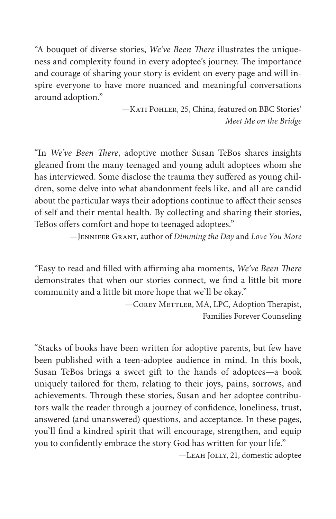"A bouquet of diverse stories, *We've Been There* illustrates the uniqueness and complexity found in every adoptee's journey. The importance and courage of sharing your story is evident on every page and will inspire everyone to have more nuanced and meaningful conversations around adoption."

> —Kati Pohler, 25, China, featured on BBC Stories' *Meet Me on the Bridge*

"In *We've Been There*, adoptive mother Susan TeBos shares insights gleaned from the many teenaged and young adult adoptees whom she has interviewed. Some disclose the trauma they suffered as young children, some delve into what abandonment feels like, and all are candid about the particular ways their adoptions continue to affect their senses of self and their mental health. By collecting and sharing their stories, TeBos offers comfort and hope to teenaged adoptees."

—Jennifer Grant, author of *Dimming the Day* and *Love You More*

"Easy to read and filled with affirming aha moments, *We've Been There* demonstrates that when our stories connect, we find a little bit more community and a little bit more hope that we'll be okay."

> -COREY METTLER, MA, LPC, Adoption Therapist, Families Forever Counseling

"Stacks of books have been written for adoptive parents, but few have been published with a teen-adoptee audience in mind. In this book, Susan TeBos brings a sweet gift to the hands of adoptees—a book uniquely tailored for them, relating to their joys, pains, sorrows, and achievements. Through these stories, Susan and her adoptee contributors walk the reader through a journey of confidence, loneliness, trust, answered (and unanswered) questions, and acceptance. In these pages, you'll find a kindred spirit that will encourage, strengthen, and equip you to confidently embrace the story God has written for your life."

—Leah Jolly, 21, domestic adoptee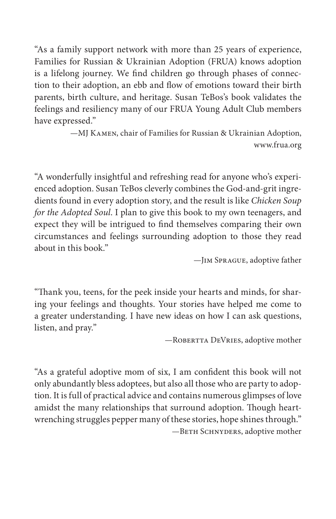"As a family support network with more than 25 years of experience, Families for Russian & Ukrainian Adoption (FRUA) knows adoption is a lifelong journey. We find children go through phases of connection to their adoption, an ebb and flow of emotions toward their birth parents, birth culture, and heritage. Susan TeBos's book validates the feelings and resiliency many of our FRUA Young Adult Club members have expressed."

> —MJ Kamen, chair of Families for Russian & Ukrainian Adoption, www.frua.org

"A wonderfully insightful and refreshing read for anyone who's experienced adoption. Susan TeBos cleverly combines the God-and-grit ingredients found in every adoption story, and the result is like *Chicken Soup for the Adopted Soul*. I plan to give this book to my own teenagers, and expect they will be intrigued to find themselves comparing their own circumstances and feelings surrounding adoption to those they read about in this book."

—Jim Sprague, adoptive father

"Thank you, teens, for the peek inside your hearts and minds, for sharing your feelings and thoughts. Your stories have helped me come to a greater understanding. I have new ideas on how I can ask questions, listen, and pray."

—Robertta DeVries, adoptive mother

"As a grateful adoptive mom of six, I am confident this book will not only abundantly bless adoptees, but also all those who are party to adoption. It is full of practical advice and contains numerous glimpses of love amidst the many relationships that surround adoption. Though heartwrenching struggles pepper many of these stories, hope shines through."  $-$ BETH SCHNYDERS, adoptive mother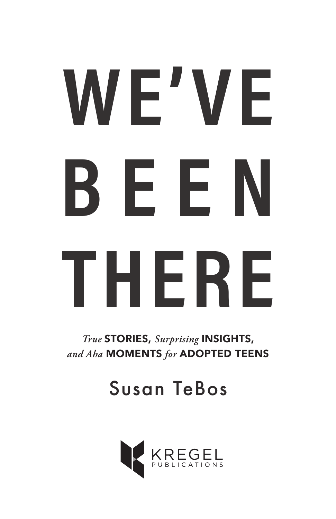# WE'VE **BEEN THERE**

*True* STORIES, *Surprising* INSIGHTS, *and Aha* MOMENTS *for* ADOPTED TEENS

Susan TeBos

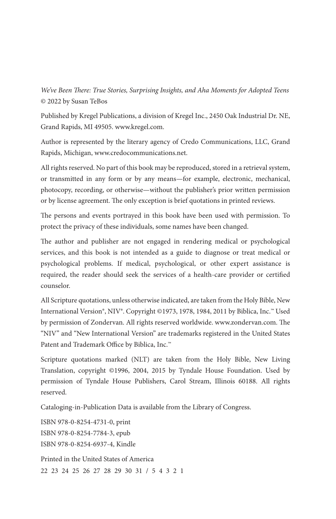*We've Been There: True Stories, Surprising Insights, and Aha Moments for Adopted Teens* © 2022 by Susan TeBos

Published by Kregel Publications, a division of Kregel Inc., 2450 Oak Industrial Dr. NE, Grand Rapids, MI 49505. www.kregel.com.

Author is represented by the literary agency of Credo Communications, LLC, Grand Rapids, Michigan, www.credocommunications.net.

All rights reserved. No part of this book may be reproduced, stored in a retrieval system, or transmitted in any form or by any means—for example, electronic, mechanical, photocopy, recording, or otherwise—without the publisher's prior written permission or by license agreement. The only exception is brief quotations in printed reviews.

The persons and events portrayed in this book have been used with permission. To protect the privacy of these individuals, some names have been changed.

The author and publisher are not engaged in rendering medical or psychological services, and this book is not intended as a guide to diagnose or treat medical or psychological problems. If medical, psychological, or other expert assistance is required, the reader should seek the services of a health-care provider or certified counselor.

All Scripture quotations, unless otherwise indicated, are taken from the Holy Bible, New International Version®, NIV®. Copyright ©1973, 1978, 1984, 2011 by Biblica, Inc.™ Used by permission of Zondervan. All rights reserved worldwide. www.zondervan.com. The "NIV" and "New International Version" are trademarks registered in the United States Patent and Trademark Office by Biblica, Inc.™

Scripture quotations marked (NLT) are taken from the Holy Bible, New Living Translation, copyright ©1996, 2004, 2015 by Tyndale House Foundation. Used by permission of Tyndale House Publishers, Carol Stream, Illinois 60188. All rights reserved.

Cataloging-in-Publication Data is available from the Library of Congress.

ISBN 978-0-8254-4731-0, print ISBN 978-0-8254-7784-3, epub ISBN 978-0-8254-6937-4, Kindle

Printed in the United States of America 22 23 24 25 26 27 28 29 30 31 / 5 4 3 2 1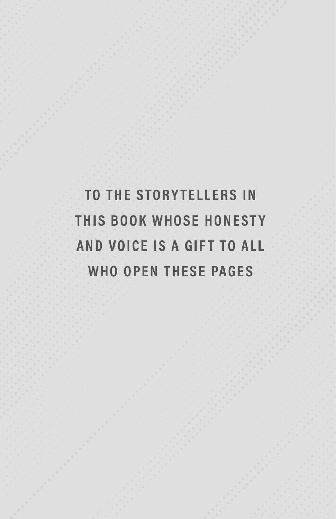**TO THE STORYTELLERS IN THIS BOOK WHOSE HONESTY AND VOICE IS A GIFT TO ALL WHO OPEN THESE PAGES**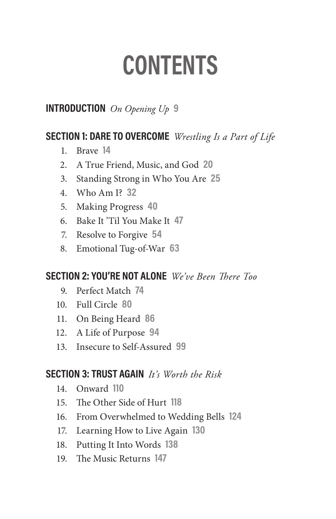# **CONTENTS**

#### **INTRODUCTION** *On Opening Up* **9**

#### **SECTION 1: DARE TO OVERCOME** *Wrestling Is a Part of Life*

- 1. Brave**14**
- 2. A True Friend, Music, and God**20**
- 3. Standing Strong in Who You Are**25**
- 4. Who Am I?**32**
- 5. Making Progress**40**
- 6. Bake It 'Til You Make It**47**
- 7. Resolve to Forgive**54**
- 8. Emotional Tug-of-War**63**

#### **SECTION 2: YOU'RE NOT ALONE** *We've Been There Too*

- 9. Perfect Match**74**
- 10. Full Circle**80**
- 11. On Being Heard**86**
- 12. A Life of Purpose**94**
- 13. Insecure to Self-Assured**99**

#### **SECTION 3: TRUST AGAIN** *It's Worth the Risk*

- 14. Onward**110**
- 15. The Other Side of Hurt**118**
- 16. From Overwhelmed to Wedding Bells**124**
- 17. Learning How to Live Again**130**
- 18. Putting It Into Words**138**
- 19. The Music Returns**147**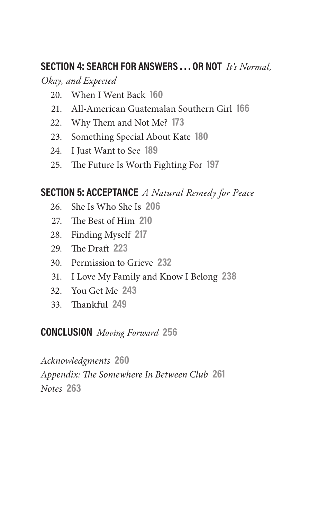#### **SECTION 4: SEARCH FOR ANSWERS . . . OR NOT** *It's Normal,*

*Okay, and Expected*

- 20. When I Went Back**160**
- 21. All-American Guatemalan Southern Girl**166**
- 22. Why Them and Not Me?**173**
- 23. Something Special About Kate**180**
- 24. I Just Want to See**189**
- 25. The Future Is Worth Fighting For**197**

#### **SECTION 5: ACCEPTANCE** *A Natural Remedy for Peace*

- 26. She Is Who She Is**206**
- 27. The Best of Him**210**
- 28. Finding Myself**217**
- 29. The Draft**223**
- 30. Permission to Grieve**232**
- 31. I Love My Family and Know I Belong**238**
- 32. You Get Me**243**
- 33. Thankful**249**

**CONCLUSION** *Moving Forward* **256**

*Acknowledgments* **260** *Appendix: The Somewhere In Between Club* **261** *Notes* **263**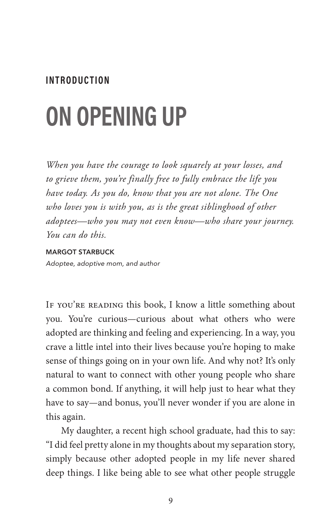#### **INTRODUCTION**

# **ON OPENING UP**

*When you have the courage to look squarely at your losses, and to grieve them, you're finally free to fully embrace the life you have today. As you do, know that you are not alone. The One who loves you is with you, as is the great siblinghood of other adoptees—who you may not even know—who share your journey. You can do this.*

#### MARGOT STARBUCK

Adoptee, adoptive mom, and author

IF YOU'RE READING this book, I know a little something about you. You're curious—curious about what others who were adopted are thinking and feeling and experiencing. In a way, you crave a little intel into their lives because you're hoping to make sense of things going on in your own life. And why not? It's only natural to want to connect with other young people who share a common bond. If anything, it will help just to hear what they have to say—and bonus, you'll never wonder if you are alone in this again.

My daughter, a recent high school graduate, had this to say: "I did feel pretty alone in my thoughts about my separation story, simply because other adopted people in my life never shared deep things. I like being able to see what other people struggle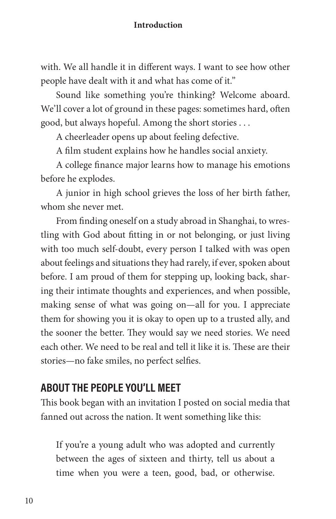with. We all handle it in different ways. I want to see how other people have dealt with it and what has come of it."

Sound like something you're thinking? Welcome aboard. We'll cover a lot of ground in these pages: sometimes hard, often good, but always hopeful. Among the short stories . . .

A cheerleader opens up about feeling defective.

A film student explains how he handles social anxiety.

A college finance major learns how to manage his emotions before he explodes.

A junior in high school grieves the loss of her birth father, whom she never met.

From finding oneself on a study abroad in Shanghai, to wrestling with God about fitting in or not belonging, or just living with too much self-doubt, every person I talked with was open about feelings and situations they had rarely, if ever, spoken about before. I am proud of them for stepping up, looking back, sharing their intimate thoughts and experiences, and when possible, making sense of what was going on—all for you. I appreciate them for showing you it is okay to open up to a trusted ally, and the sooner the better. They would say we need stories. We need each other. We need to be real and tell it like it is. These are their stories—no fake smiles, no perfect selfies.

#### **ABOUT THE PEOPLE YOU'LL MEET**

This book began with an invitation I posted on social media that fanned out across the nation. It went something like this:

If you're a young adult who was adopted and currently between the ages of sixteen and thirty, tell us about a time when you were a teen, good, bad, or otherwise.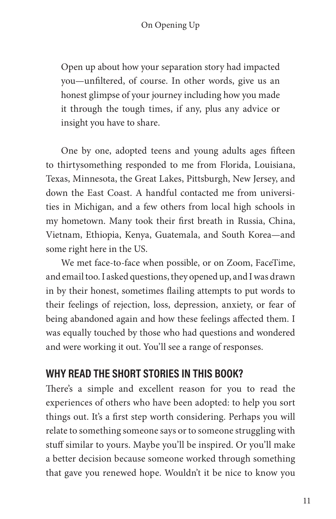Open up about how your separation story had impacted you—unfiltered, of course. In other words, give us an honest glimpse of your journey including how you made it through the tough times, if any, plus any advice or insight you have to share.

One by one, adopted teens and young adults ages fifteen to thirtysomething responded to me from Florida, Louisiana, Texas, Minnesota, the Great Lakes, Pittsburgh, New Jersey, and down the East Coast. A handful contacted me from universities in Michigan, and a few others from local high schools in my hometown. Many took their first breath in Russia, China, Vietnam, Ethiopia, Kenya, Guatemala, and South Korea—and some right here in the US.

We met face-to-face when possible, or on Zoom, FaceTime, and email too. I asked questions, they opened up, and I was drawn in by their honest, sometimes flailing attempts to put words to their feelings of rejection, loss, depression, anxiety, or fear of being abandoned again and how these feelings affected them. I was equally touched by those who had questions and wondered and were working it out. You'll see a range of responses.

#### **WHY READ THE SHORT STORIES IN THIS BOOK?**

There's a simple and excellent reason for you to read the experiences of others who have been adopted: to help you sort things out. It's a first step worth considering. Perhaps you will relate to something someone says or to someone struggling with stuff similar to yours. Maybe you'll be inspired. Or you'll make a better decision because someone worked through something that gave you renewed hope. Wouldn't it be nice to know you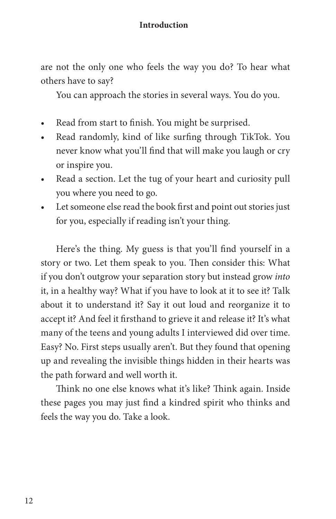are not the only one who feels the way you do? To hear what others have to say?

You can approach the stories in several ways. You do you.

- Read from start to finish. You might be surprised.
- Read randomly, kind of like surfing through TikTok. You never know what you'll find that will make you laugh or cry or inspire you.
- Read a section. Let the tug of your heart and curiosity pull you where you need to go.
- Let someone else read the book first and point out stories just for you, especially if reading isn't your thing.

Here's the thing. My guess is that you'll find yourself in a story or two. Let them speak to you. Then consider this: What if you don't outgrow your separation story but instead grow *into* it, in a healthy way? What if you have to look at it to see it? Talk about it to understand it? Say it out loud and reorganize it to accept it? And feel it firsthand to grieve it and release it? It's what many of the teens and young adults I interviewed did over time. Easy? No. First steps usually aren't. But they found that opening up and revealing the invisible things hidden in their hearts was the path forward and well worth it.

Think no one else knows what it's like? Think again. Inside these pages you may just find a kindred spirit who thinks and feels the way you do. Take a look.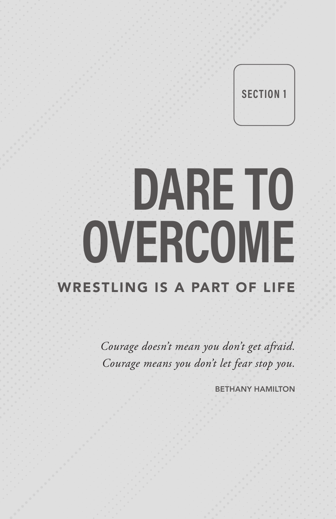**SECTION 1**

# **DARE TO OVERCOME** WRESTLING IS A PART OF LIFE

*Courage doesn't mean you don't get afraid. Courage means you don't let fear stop you.* 

BETHANY HAMILTON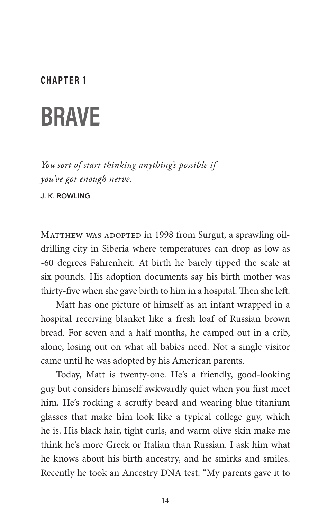#### **CHAPTER 1**

### **BRAVE**

*You sort of start thinking anything's possible if you've got enough nerve.*

J. K. ROWLING

MATTHEW WAS ADOPTED in 1998 from Surgut, a sprawling oildrilling city in Siberia where temperatures can drop as low as -60 degrees Fahrenheit. At birth he barely tipped the scale at six pounds. His adoption documents say his birth mother was thirty-five when she gave birth to him in a hospital. Then she left.

Matt has one picture of himself as an infant wrapped in a hospital receiving blanket like a fresh loaf of Russian brown bread. For seven and a half months, he camped out in a crib, alone, losing out on what all babies need. Not a single visitor came until he was adopted by his American parents.

Today, Matt is twenty-one. He's a friendly, good-looking guy but considers himself awkwardly quiet when you first meet him. He's rocking a scruffy beard and wearing blue titanium glasses that make him look like a typical college guy, which he is. His black hair, tight curls, and warm olive skin make me think he's more Greek or Italian than Russian. I ask him what he knows about his birth ancestry, and he smirks and smiles. Recently he took an Ancestry DNA test. "My parents gave it to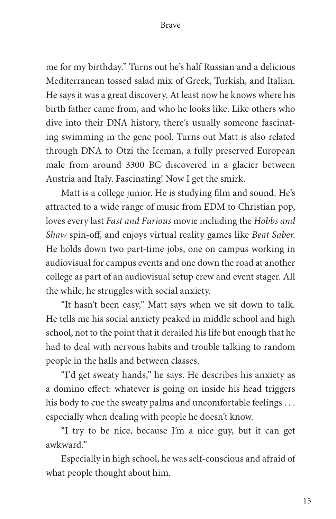me for my birthday." Turns out he's half Russian and a delicious Mediterranean tossed salad mix of Greek, Turkish, and Italian. He says it was a great discovery. At least now he knows where his birth father came from, and who he looks like. Like others who dive into their DNA history, there's usually someone fascinating swimming in the gene pool. Turns out Matt is also related through DNA to Otzi the Iceman, a fully preserved European male from around 3300 BC discovered in a glacier between Austria and Italy. Fascinating! Now I get the smirk.

Matt is a college junior. He is studying film and sound. He's attracted to a wide range of music from EDM to Christian pop, loves every last *Fast and Furious* movie including the *Hobbs and Shaw* spin-off, and enjoys virtual reality games like *Beat Saber*. He holds down two part-time jobs, one on campus working in audiovisual for campus events and one down the road at another college as part of an audiovisual setup crew and event stager. All the while, he struggles with social anxiety.

"It hasn't been easy," Matt says when we sit down to talk. He tells me his social anxiety peaked in middle school and high school, not to the point that it derailed his life but enough that he had to deal with nervous habits and trouble talking to random people in the halls and between classes.

"I'd get sweaty hands," he says. He describes his anxiety as a domino effect: whatever is going on inside his head triggers his body to cue the sweaty palms and uncomfortable feelings . . . especially when dealing with people he doesn't know.

"I try to be nice, because I'm a nice guy, but it can get awkward."

Especially in high school, he was self-conscious and afraid of what people thought about him.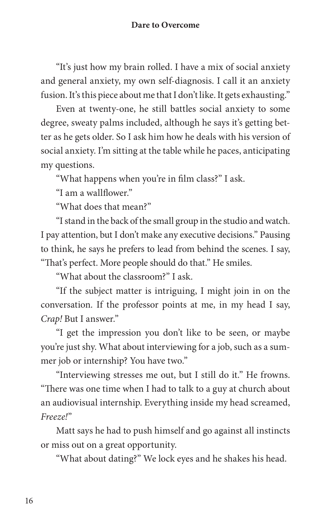"It's just how my brain rolled. I have a mix of social anxiety and general anxiety, my own self-diagnosis. I call it an anxiety fusion. It's this piece about me that I don't like. It gets exhausting."

Even at twenty-one, he still battles social anxiety to some degree, sweaty palms included, although he says it's getting better as he gets older. So I ask him how he deals with his version of social anxiety. I'm sitting at the table while he paces, anticipating my questions.

"What happens when you're in film class?" I ask.

"I am a wallflower."

"What does that mean?"

"I stand in the back of the small group in the studio and watch. I pay attention, but I don't make any executive decisions." Pausing to think, he says he prefers to lead from behind the scenes. I say, "That's perfect. More people should do that." He smiles.

"What about the classroom?" I ask.

"If the subject matter is intriguing, I might join in on the conversation. If the professor points at me, in my head I say, *Crap!* But I answer."

"I get the impression you don't like to be seen, or maybe you're just shy. What about interviewing for a job, such as a summer job or internship? You have two."

"Interviewing stresses me out, but I still do it." He frowns. "There was one time when I had to talk to a guy at church about an audiovisual internship. Everything inside my head screamed, *Freeze!*"

Matt says he had to push himself and go against all instincts or miss out on a great opportunity.

"What about dating?" We lock eyes and he shakes his head.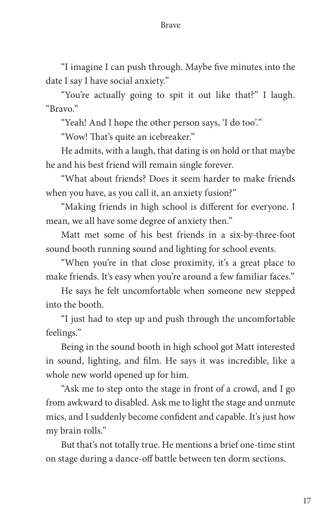"I imagine I can push through. Maybe five minutes into the date I say I have social anxiety."

"You're actually going to spit it out like that?" I laugh. "Bravo."

"Yeah! And I hope the other person says, 'I do too'."

"Wow! That's quite an icebreaker."

He admits, with a laugh, that dating is on hold or that maybe he and his best friend will remain single forever.

"What about friends? Does it seem harder to make friends when you have, as you call it, an anxiety fusion?"

"Making friends in high school is different for everyone. I mean, we all have some degree of anxiety then."

Matt met some of his best friends in a six-by-three-foot sound booth running sound and lighting for school events.

"When you're in that close proximity, it's a great place to make friends. It's easy when you're around a few familiar faces."

He says he felt uncomfortable when someone new stepped into the booth.

"I just had to step up and push through the uncomfortable feelings."

Being in the sound booth in high school got Matt interested in sound, lighting, and film. He says it was incredible, like a whole new world opened up for him.

"Ask me to step onto the stage in front of a crowd, and I go from awkward to disabled. Ask me to light the stage and unmute mics, and I suddenly become confident and capable. It's just how my brain rolls."

But that's not totally true. He mentions a brief one-time stint on stage during a dance-off battle between ten dorm sections.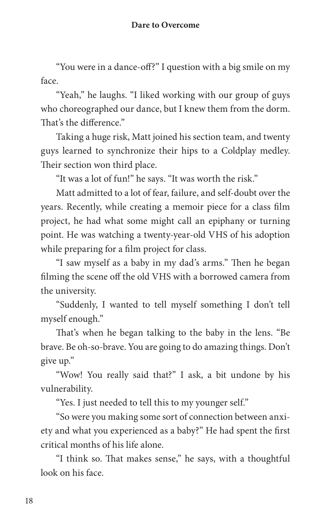"You were in a dance-off?" I question with a big smile on my face.

"Yeah," he laughs. "I liked working with our group of guys who choreographed our dance, but I knew them from the dorm. That's the difference."

Taking a huge risk, Matt joined his section team, and twenty guys learned to synchronize their hips to a Coldplay medley. Their section won third place.

"It was a lot of fun!" he says. "It was worth the risk."

Matt admitted to a lot of fear, failure, and self-doubt over the years. Recently, while creating a memoir piece for a class film project, he had what some might call an epiphany or turning point. He was watching a twenty-year-old VHS of his adoption while preparing for a film project for class.

"I saw myself as a baby in my dad's arms." Then he began filming the scene off the old VHS with a borrowed camera from the university.

"Suddenly, I wanted to tell myself something I don't tell myself enough."

That's when he began talking to the baby in the lens. "Be brave. Be oh-so-brave. You are going to do amazing things. Don't give up."

"Wow! You really said that?" I ask, a bit undone by his vulnerability.

"Yes. I just needed to tell this to my younger self."

"So were you making some sort of connection between anxiety and what you experienced as a baby?" He had spent the first critical months of his life alone.

"I think so. That makes sense," he says, with a thoughtful look on his face.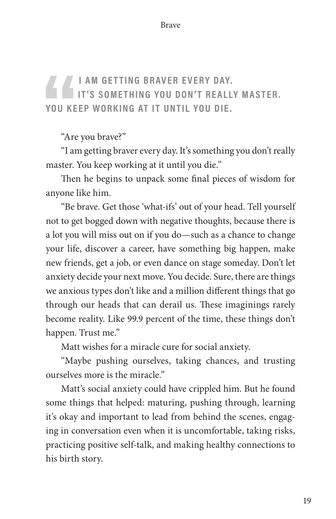#### **I AM GETTING BRAVER EVERY DAY. IT'S SOMETHING YOU DON'T REALLY MASTER. YOU KEEP WORKING AT IT UNTIL YOU DIE.**

"Are you brave?"

"I am getting braver every day. It's something you don't really master. You keep working at it until you die."

Then he begins to unpack some final pieces of wisdom for anyone like him.

"Be brave. Get those 'what-ifs' out of your head. Tell yourself not to get bogged down with negative thoughts, because there is a lot you will miss out on if you do—such as a chance to change your life, discover a career, have something big happen, make new friends, get a job, or even dance on stage someday. Don't let anxiety decide your next move. You decide. Sure, there are things we anxious types don't like and a million different things that go through our heads that can derail us. These imaginings rarely become reality. Like 99.9 percent of the time, these things don't happen. Trust me."

Matt wishes for a miracle cure for social anxiety.

"Maybe pushing ourselves, taking chances, and trusting ourselves more is the miracle."

Matt's social anxiety could have crippled him. But he found some things that helped: maturing, pushing through, learning it's okay and important to lead from behind the scenes, engaging in conversation even when it is uncomfortable, taking risks, practicing positive self-talk, and making healthy connections to his birth story.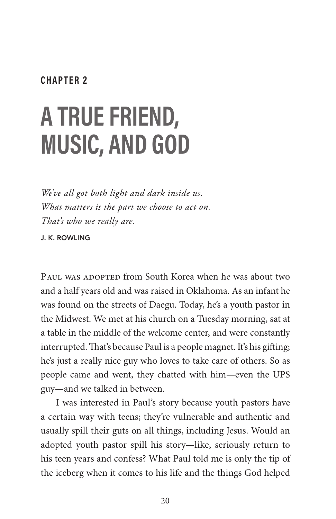#### **CHAPTER 2**

# **A TRUE FRIEND, MUSIC, AND GOD**

*We've all got both light and dark inside us. What matters is the part we choose to act on. That's who we really are.*

J. K. ROWLING

PAUL WAS ADOPTED from South Korea when he was about two and a half years old and was raised in Oklahoma. As an infant he was found on the streets of Daegu. Today, he's a youth pastor in the Midwest. We met at his church on a Tuesday morning, sat at a table in the middle of the welcome center, and were constantly interrupted. That's because Paul is a people magnet. It's his gifting; he's just a really nice guy who loves to take care of others. So as people came and went, they chatted with him—even the UPS guy—and we talked in between.

I was interested in Paul's story because youth pastors have a certain way with teens; they're vulnerable and authentic and usually spill their guts on all things, including Jesus. Would an adopted youth pastor spill his story—like, seriously return to his teen years and confess? What Paul told me is only the tip of the iceberg when it comes to his life and the things God helped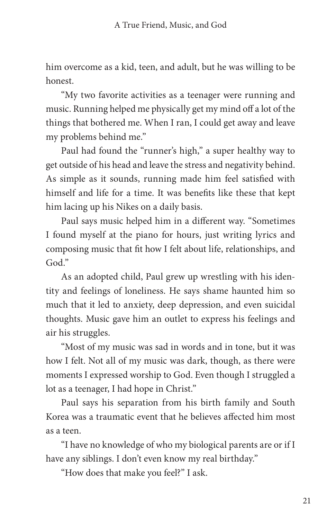him overcome as a kid, teen, and adult, but he was willing to be honest.

"My two favorite activities as a teenager were running and music. Running helped me physically get my mind off a lot of the things that bothered me. When I ran, I could get away and leave my problems behind me."

Paul had found the "runner's high," a super healthy way to get outside of his head and leave the stress and negativity behind. As simple as it sounds, running made him feel satisfied with himself and life for a time. It was benefits like these that kept him lacing up his Nikes on a daily basis.

Paul says music helped him in a different way. "Sometimes I found myself at the piano for hours, just writing lyrics and composing music that fit how I felt about life, relationships, and God."

As an adopted child, Paul grew up wrestling with his identity and feelings of loneliness. He says shame haunted him so much that it led to anxiety, deep depression, and even suicidal thoughts. Music gave him an outlet to express his feelings and air his struggles.

"Most of my music was sad in words and in tone, but it was how I felt. Not all of my music was dark, though, as there were moments I expressed worship to God. Even though I struggled a lot as a teenager, I had hope in Christ."

Paul says his separation from his birth family and South Korea was a traumatic event that he believes affected him most as a teen.

"I have no knowledge of who my biological parents are or if I have any siblings. I don't even know my real birthday."

"How does that make you feel?" I ask.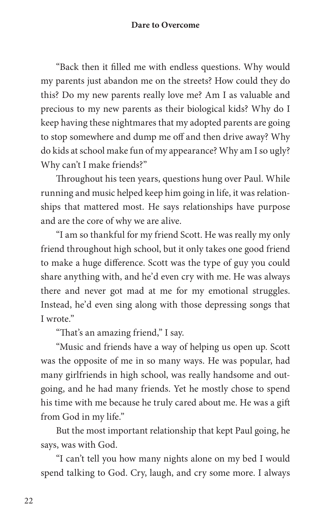"Back then it filled me with endless questions. Why would my parents just abandon me on the streets? How could they do this? Do my new parents really love me? Am I as valuable and precious to my new parents as their biological kids? Why do I keep having these nightmares that my adopted parents are going to stop somewhere and dump me off and then drive away? Why do kids at school make fun of my appearance? Why am I so ugly? Why can't I make friends?"

Throughout his teen years, questions hung over Paul. While running and music helped keep him going in life, it was relationships that mattered most. He says relationships have purpose and are the core of why we are alive.

"I am so thankful for my friend Scott. He was really my only friend throughout high school, but it only takes one good friend to make a huge difference. Scott was the type of guy you could share anything with, and he'd even cry with me. He was always there and never got mad at me for my emotional struggles. Instead, he'd even sing along with those depressing songs that I wrote."

"That's an amazing friend," I say.

"Music and friends have a way of helping us open up. Scott was the opposite of me in so many ways. He was popular, had many girlfriends in high school, was really handsome and outgoing, and he had many friends. Yet he mostly chose to spend his time with me because he truly cared about me. He was a gift from God in my life."

But the most important relationship that kept Paul going, he says, was with God.

"I can't tell you how many nights alone on my bed I would spend talking to God. Cry, laugh, and cry some more. I always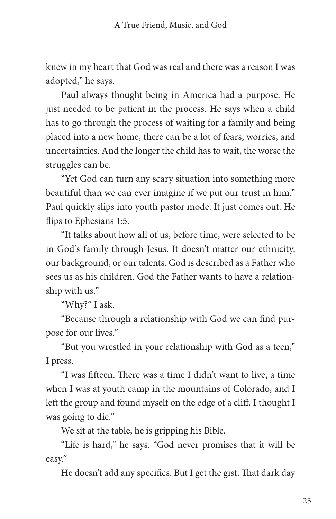knew in my heart that God was real and there was a reason I was adopted," he says.

Paul always thought being in America had a purpose. He just needed to be patient in the process. He says when a child has to go through the process of waiting for a family and being placed into a new home, there can be a lot of fears, worries, and uncertainties. And the longer the child has to wait, the worse the struggles can be.

"Yet God can turn any scary situation into something more beautiful than we can ever imagine if we put our trust in him." Paul quickly slips into youth pastor mode. It just comes out. He flips to Ephesians 1:5.

"It talks about how all of us, before time, were selected to be in God's family through Jesus. It doesn't matter our ethnicity, our background, or our talents. God is described as a Father who sees us as his children. God the Father wants to have a relationship with us."

"Why?" I ask.

"Because through a relationship with God we can find purpose for our lives."

"But you wrestled in your relationship with God as a teen," I press.

"I was fifteen. There was a time I didn't want to live, a time when I was at youth camp in the mountains of Colorado, and I left the group and found myself on the edge of a cliff. I thought I was going to die."

We sit at the table; he is gripping his Bible.

"Life is hard," he says. "God never promises that it will be easy."

He doesn't add any specifics. But I get the gist. That dark day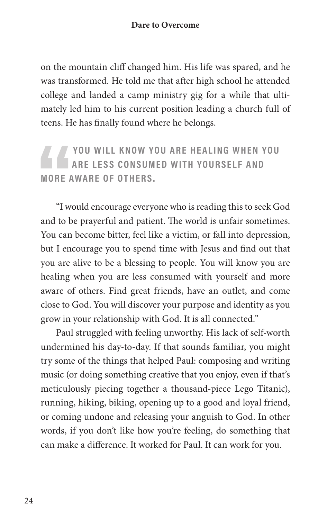on the mountain cliff changed him. His life was spared, and he was transformed. He told me that after high school he attended college and landed a camp ministry gig for a while that ultimately led him to his current position leading a church full of teens. He has finally found where he belongs.

YOU WILL KNOW YOU ARE HEALING WHEN YOU **ARE LESS CONSUMED WITH YOURSELF AND MORE AWARE OF OTHERS.**

"I would encourage everyone who is reading this to seek God and to be prayerful and patient. The world is unfair sometimes. You can become bitter, feel like a victim, or fall into depression, but I encourage you to spend time with Jesus and find out that you are alive to be a blessing to people. You will know you are healing when you are less consumed with yourself and more aware of others. Find great friends, have an outlet, and come close to God. You will discover your purpose and identity as you grow in your relationship with God. It is all connected."

Paul struggled with feeling unworthy. His lack of self-worth undermined his day-to-day. If that sounds familiar, you might try some of the things that helped Paul: composing and writing music (or doing something creative that you enjoy, even if that's meticulously piecing together a thousand-piece Lego Titanic), running, hiking, biking, opening up to a good and loyal friend, or coming undone and releasing your anguish to God. In other words, if you don't like how you're feeling, do something that can make a difference. It worked for Paul. It can work for you.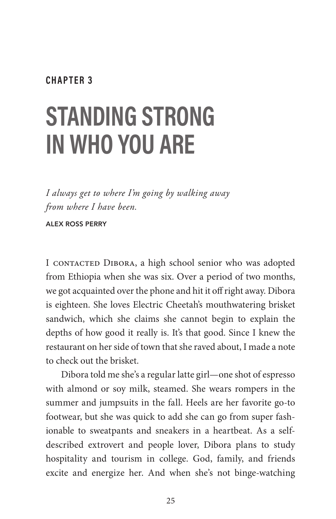#### **CHAPTER 3**

# **STANDING STRONG IN WHO YOU ARE**

*I always get to where I'm going by walking away from where I have been.*

ALEX ROSS PERRY

I CONTACTED DIBORA, a high school senior who was adopted from Ethiopia when she was six. Over a period of two months, we got acquainted over the phone and hit it off right away. Dibora is eighteen. She loves Electric Cheetah's mouthwatering brisket sandwich, which she claims she cannot begin to explain the depths of how good it really is. It's that good. Since I knew the restaurant on her side of town that she raved about, I made a note to check out the brisket.

Dibora told me she's a regular latte girl—one shot of espresso with almond or soy milk, steamed. She wears rompers in the summer and jumpsuits in the fall. Heels are her favorite go-to footwear, but she was quick to add she can go from super fashionable to sweatpants and sneakers in a heartbeat. As a selfdescribed extrovert and people lover, Dibora plans to study hospitality and tourism in college. God, family, and friends excite and energize her. And when she's not binge-watching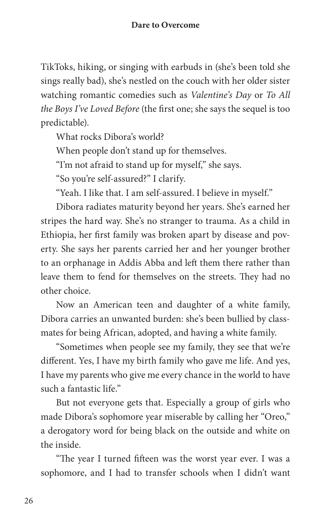TikToks, hiking, or singing with earbuds in (she's been told she sings really bad), she's nestled on the couch with her older sister watching romantic comedies such as *Valentine's Day* or *To All the Boys I've Loved Before* (the first one; she says the sequel is too predictable).

What rocks Dibora's world?

When people don't stand up for themselves.

"I'm not afraid to stand up for myself," she says.

"So you're self-assured?" I clarify.

"Yeah. I like that. I am self-assured. I believe in myself."

Dibora radiates maturity beyond her years. She's earned her stripes the hard way. She's no stranger to trauma. As a child in Ethiopia, her first family was broken apart by disease and poverty. She says her parents carried her and her younger brother to an orphanage in Addis Abba and left them there rather than leave them to fend for themselves on the streets. They had no other choice.

Now an American teen and daughter of a white family, Dibora carries an unwanted burden: she's been bullied by classmates for being African, adopted, and having a white family.

"Sometimes when people see my family, they see that we're different. Yes, I have my birth family who gave me life. And yes, I have my parents who give me every chance in the world to have such a fantastic life."

But not everyone gets that. Especially a group of girls who made Dibora's sophomore year miserable by calling her "Oreo," a derogatory word for being black on the outside and white on the inside.

"The year I turned fifteen was the worst year ever. I was a sophomore, and I had to transfer schools when I didn't want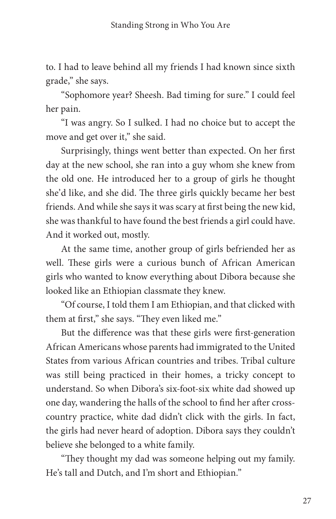to. I had to leave behind all my friends I had known since sixth grade," she says.

"Sophomore year? Sheesh. Bad timing for sure." I could feel her pain.

"I was angry. So I sulked. I had no choice but to accept the move and get over it," she said.

Surprisingly, things went better than expected. On her first day at the new school, she ran into a guy whom she knew from the old one. He introduced her to a group of girls he thought she'd like, and she did. The three girls quickly became her best friends. And while she says it was scary at first being the new kid, she was thankful to have found the best friends a girl could have. And it worked out, mostly.

At the same time, another group of girls befriended her as well. These girls were a curious bunch of African American girls who wanted to know everything about Dibora because she looked like an Ethiopian classmate they knew.

"Of course, I told them I am Ethiopian, and that clicked with them at first," she says. "They even liked me."

But the difference was that these girls were first-generation African Americans whose parents had immigrated to the United States from various African countries and tribes. Tribal culture was still being practiced in their homes, a tricky concept to understand. So when Dibora's six-foot-six white dad showed up one day, wandering the halls of the school to find her after crosscountry practice, white dad didn't click with the girls. In fact, the girls had never heard of adoption. Dibora says they couldn't believe she belonged to a white family.

"They thought my dad was someone helping out my family. He's tall and Dutch, and I'm short and Ethiopian."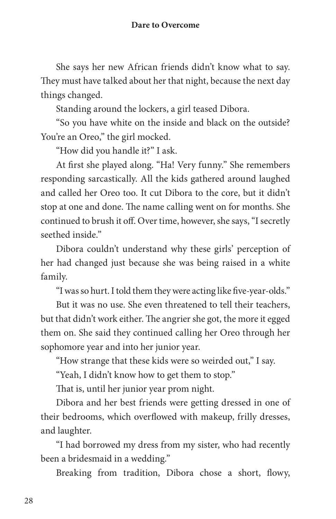She says her new African friends didn't know what to say. They must have talked about her that night, because the next day things changed.

Standing around the lockers, a girl teased Dibora.

"So you have white on the inside and black on the outside? You're an Oreo," the girl mocked.

"How did you handle it?" I ask.

At first she played along. "Ha! Very funny." She remembers responding sarcastically. All the kids gathered around laughed and called her Oreo too. It cut Dibora to the core, but it didn't stop at one and done. The name calling went on for months. She continued to brush it off. Over time, however, she says, "I secretly seethed inside."

Dibora couldn't understand why these girls' perception of her had changed just because she was being raised in a white family.

"I was so hurt. I told them they were acting like five-year-olds."

But it was no use. She even threatened to tell their teachers, but that didn't work either. The angrier she got, the more it egged them on. She said they continued calling her Oreo through her sophomore year and into her junior year.

"How strange that these kids were so weirded out," I say.

"Yeah, I didn't know how to get them to stop."

That is, until her junior year prom night.

Dibora and her best friends were getting dressed in one of their bedrooms, which overflowed with makeup, frilly dresses, and laughter.

"I had borrowed my dress from my sister, who had recently been a bridesmaid in a wedding."

Breaking from tradition, Dibora chose a short, flowy,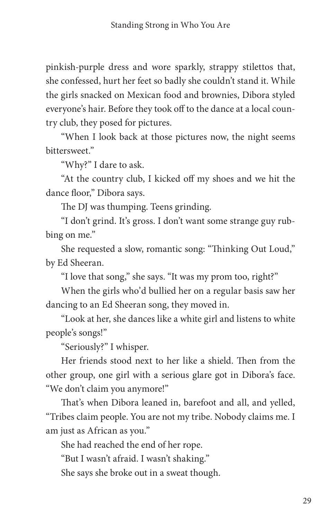pinkish-purple dress and wore sparkly, strappy stilettos that, she confessed, hurt her feet so badly she couldn't stand it. While the girls snacked on Mexican food and brownies, Dibora styled everyone's hair. Before they took off to the dance at a local country club, they posed for pictures.

"When I look back at those pictures now, the night seems bittersweet."

"Why?" I dare to ask.

"At the country club, I kicked off my shoes and we hit the dance floor," Dibora says.

The DJ was thumping. Teens grinding.

"I don't grind. It's gross. I don't want some strange guy rubbing on me."

She requested a slow, romantic song: "Thinking Out Loud," by Ed Sheeran.

"I love that song," she says. "It was my prom too, right?"

When the girls who'd bullied her on a regular basis saw her dancing to an Ed Sheeran song, they moved in.

"Look at her, she dances like a white girl and listens to white people's songs!"

"Seriously?" I whisper.

Her friends stood next to her like a shield. Then from the other group, one girl with a serious glare got in Dibora's face. "We don't claim you anymore!"

That's when Dibora leaned in, barefoot and all, and yelled, "Tribes claim people. You are not my tribe. Nobody claims me. I am just as African as you."

She had reached the end of her rope.

"But I wasn't afraid. I wasn't shaking."

She says she broke out in a sweat though.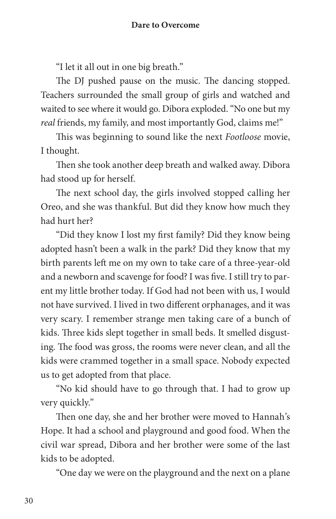"I let it all out in one big breath."

The DJ pushed pause on the music. The dancing stopped. Teachers surrounded the small group of girls and watched and waited to see where it would go. Dibora exploded. "No one but my *real* friends, my family, and most importantly God, claims me!"

This was beginning to sound like the next *Footloose* movie, I thought.

Then she took another deep breath and walked away. Dibora had stood up for herself.

The next school day, the girls involved stopped calling her Oreo, and she was thankful. But did they know how much they had hurt her?

"Did they know I lost my first family? Did they know being adopted hasn't been a walk in the park? Did they know that my birth parents left me on my own to take care of a three-year-old and a newborn and scavenge for food? I was five. I still try to parent my little brother today. If God had not been with us, I would not have survived. I lived in two different orphanages, and it was very scary. I remember strange men taking care of a bunch of kids. Three kids slept together in small beds. It smelled disgusting. The food was gross, the rooms were never clean, and all the kids were crammed together in a small space. Nobody expected us to get adopted from that place.

"No kid should have to go through that. I had to grow up very quickly."

Then one day, she and her brother were moved to Hannah's Hope. It had a school and playground and good food. When the civil war spread, Dibora and her brother were some of the last kids to be adopted.

"One day we were on the playground and the next on a plane